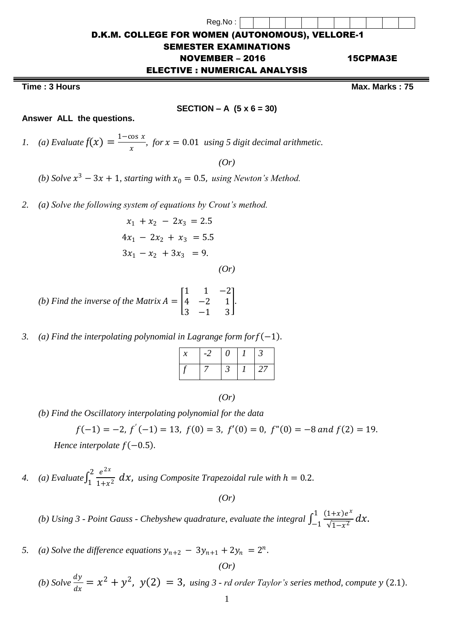| Reg.No:                                          |  |  |  |  |  |  |  |  |  |  |  |
|--------------------------------------------------|--|--|--|--|--|--|--|--|--|--|--|
| D.K.M. COLLEGE FOR WOMEN (AUTONOMOUS), VELLORE-1 |  |  |  |  |  |  |  |  |  |  |  |
| <b>SEMESTER EXAMINATIONS</b>                     |  |  |  |  |  |  |  |  |  |  |  |
| <b>NOVEMBER – 2016</b><br><b>15CPMA3E</b>        |  |  |  |  |  |  |  |  |  |  |  |
| <b>ELECTIVE: NUMERICAL ANALYSIS</b>              |  |  |  |  |  |  |  |  |  |  |  |

**Time : 3 Hours Max.** Marks : 75

## **SECTION – A (5 x 6 = 30)**

**Answer ALL the questions.** 

*1. (a)* Evaluate  $f(x) = \frac{1-\cos x}{x}$  $\frac{\cos x}{x}$ , for  $x = 0.01$  *using 5 digit decimal arithmetic.* 

*(Or)*

*(b) Solve*  $x^3 - 3x + 1$ *, starting with*  $x_0 = 0.5$ *, using Newton's Method.* 

*2. (a) Solve the following system of equations by Crout's method.*

$$
x_1 + x_2 - 2x_3 = 2.5
$$
  
\n
$$
4x_1 - 2x_2 + x_3 = 5.5
$$
  
\n
$$
3x_1 - x_2 + 3x_3 = 9.
$$
  
\n(Or)

(b) Find the inverse of the Matrix 
$$
A = \begin{bmatrix} 1 & 1 & -2 \\ 4 & -2 & 1 \\ 3 & -1 & 3 \end{bmatrix}
$$
.

*3. (a) Find the interpolating polynomial in Lagrange form for*  $f(-1)$ *.* 

| $\mathcal{X}$ | -2 | 0 |    |
|---------------|----|---|----|
|               |    |   | 27 |

*(Or)*

*(b) Find the Oscillatory interpolating polynomial for the data*

 $f(-1) = -2$ ,  $f'(-1) = 13$ ,  $f(0) = 3$ ,  $f'(0) = 0$ ,  $f''(0) = -8$  and  $f(2) = 19$ . *Hence interpolate*  $f(-0.5)$ *.* 

4. *(a) Evaluate*  $\int_{1}^{2} \frac{e^{2x}}{1+x^2}$  $1 + x^2$ 2  $\int_{1}^{2} \frac{e}{1+x^2} dx$ , using Composite Trapezoidal rule with  $h = 0.2$ .

*(Or)*

(b) Using 3 - Point Gauss - Chebyshew quadrature, evaluate the integral  $\int_{-1}^{1} \frac{(1+x)e^{x}}{\sqrt{1-x^2}}$  $\sqrt{1-x^2}$ 1  $\int_{-1}^{1} \frac{(1+x)e^{-x}}{\sqrt{1-x^2}} dx$ .

5. *(a)* Solve the difference equations  $y_{n+2} - 3y_{n+1} + 2y_n = 2^n$ .

*(b) Solve*  $\frac{dy}{dx}$  $\frac{dy}{dx} = x^2 + y^2$ ,  $y(2) = 3$ , *using 3 - rd order Taylor's series method, compute*  $y$  (2.1).

*(Or)*